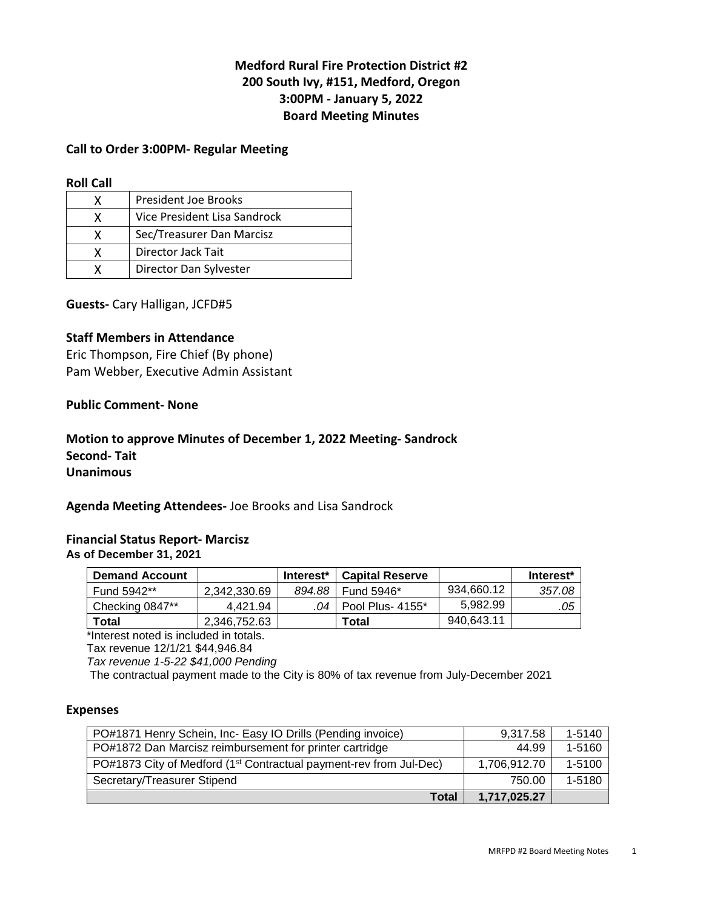## **Medford Rural Fire Protection District #2 200 South Ivy, #151, Medford, Oregon 3:00PM - January 5, 2022 Board Meeting Minutes**

#### **Call to Order 3:00PM- Regular Meeting**

#### **Roll Call**

|   | President Joe Brooks         |
|---|------------------------------|
| x | Vice President Lisa Sandrock |
| x | Sec/Treasurer Dan Marcisz    |
| x | Director Jack Tait           |
|   | Director Dan Sylvester       |

**Guests-** Cary Halligan, JCFD#5

### **Staff Members in Attendance**

Eric Thompson, Fire Chief (By phone) Pam Webber, Executive Admin Assistant

### **Public Comment- None**

### **Motion to approve Minutes of December 1, 2022 Meeting- Sandrock Second- Tait Unanimous**

**Agenda Meeting Attendees-** Joe Brooks and Lisa Sandrock

#### **Financial Status Report- Marcisz As of December 31, 2021**

| <b>Demand Account</b> |              | Interest* | <b>Capital Reserve</b> |            | Interest* |
|-----------------------|--------------|-----------|------------------------|------------|-----------|
| Fund 5942**           | 2.342.330.69 | 894.88    | Fund 5946*             | 934.660.12 | 357.08    |
| Checking 0847**       | 4.421.94     | 04 I      | Pool Plus- 4155*       | 5.982.99   | .05       |
| Total                 | 2,346,752.63 |           | Total                  | 940,643.11 |           |

\*Interest noted is included in totals.

Tax revenue 12/1/21 \$44,946.84

Tax revenue 1-5-22 \$41,000 Pending

The contractual payment made to the City is 80% of tax revenue from July-December 2021

#### **Expenses**

| PO#1871 Henry Schein, Inc- Easy IO Drills (Pending invoice)                    | 9.317.58     | 1-5140 |
|--------------------------------------------------------------------------------|--------------|--------|
| PO#1872 Dan Marcisz reimbursement for printer cartridge                        | 44.99        | 1-5160 |
| PO#1873 City of Medford (1 <sup>st</sup> Contractual payment-rev from Jul-Dec) | 1,706,912.70 | 1-5100 |
| Secretary/Treasurer Stipend                                                    | 750.00       | 1-5180 |
| <b>Total</b>                                                                   | 1,717,025.27 |        |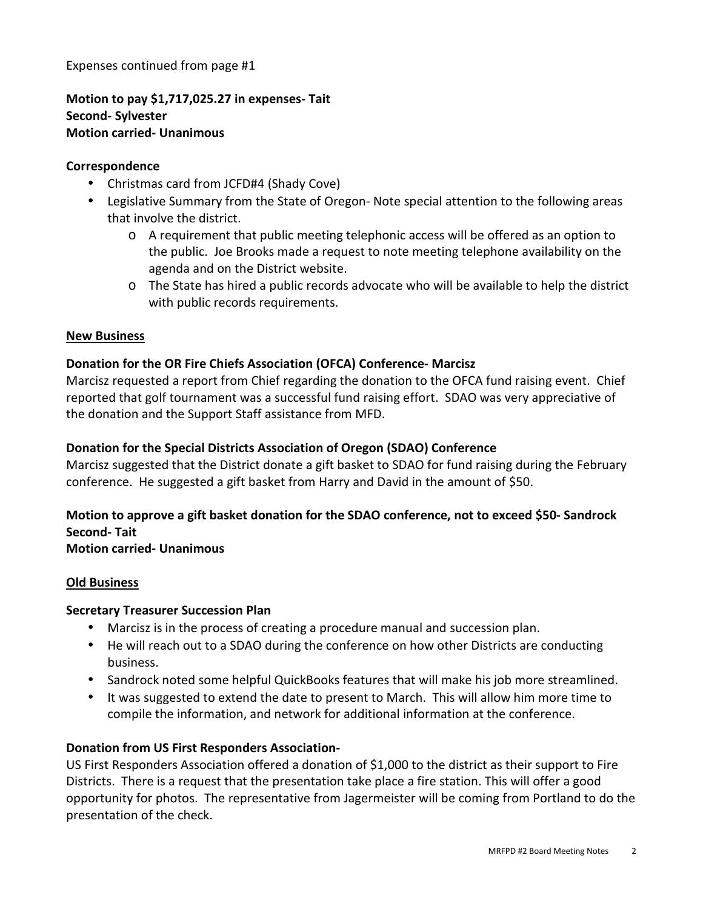Expenses continued from page #1

**Motion to pay \$1,717,025.27 in expenses- Tait Second- Sylvester Motion carried- Unanimous** 

### **Correspondence**

- Christmas card from JCFD#4 (Shady Cove)
- Legislative Summary from the State of Oregon- Note special attention to the following areas that involve the district.
	- o A requirement that public meeting telephonic access will be offered as an option to the public. Joe Brooks made a request to note meeting telephone availability on the agenda and on the District website.
	- o The State has hired a public records advocate who will be available to help the district with public records requirements.

#### **New Business**

#### **Donation for the OR Fire Chiefs Association (OFCA) Conference- Marcisz**

Marcisz requested a report from Chief regarding the donation to the OFCA fund raising event. Chief reported that golf tournament was a successful fund raising effort. SDAO was very appreciative of the donation and the Support Staff assistance from MFD.

### **Donation for the Special Districts Association of Oregon (SDAO) Conference**

Marcisz suggested that the District donate a gift basket to SDAO for fund raising during the February conference. He suggested a gift basket from Harry and David in the amount of \$50.

# **Motion to approve a gift basket donation for the SDAO conference, not to exceed \$50- Sandrock Second- Tait**

### **Motion carried- Unanimous**

### **Old Business**

#### **Secretary Treasurer Succession Plan**

- Marcisz is in the process of creating a procedure manual and succession plan.
- He will reach out to a SDAO during the conference on how other Districts are conducting business.
- Sandrock noted some helpful QuickBooks features that will make his job more streamlined.
- It was suggested to extend the date to present to March. This will allow him more time to compile the information, and network for additional information at the conference.

### **Donation from US First Responders Association-**

US First Responders Association offered a donation of \$1,000 to the district as their support to Fire Districts. There is a request that the presentation take place a fire station. This will offer a good opportunity for photos. The representative from Jagermeister will be coming from Portland to do the presentation of the check.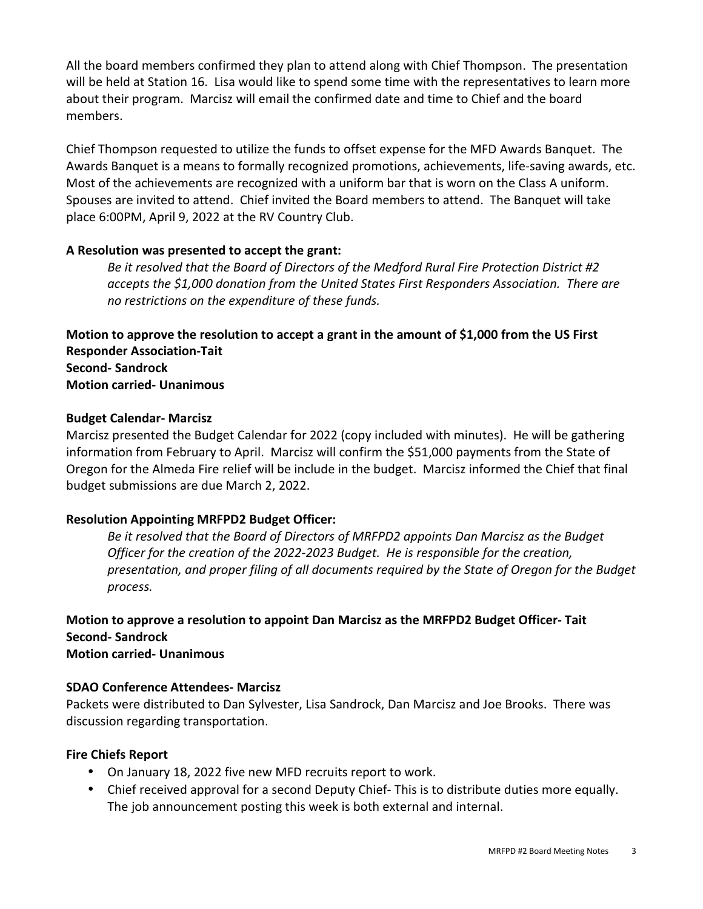All the board members confirmed they plan to attend along with Chief Thompson. The presentation will be held at Station 16. Lisa would like to spend some time with the representatives to learn more about their program. Marcisz will email the confirmed date and time to Chief and the board members.

Chief Thompson requested to utilize the funds to offset expense for the MFD Awards Banquet. The Awards Banquet is a means to formally recognized promotions, achievements, life-saving awards, etc. Most of the achievements are recognized with a uniform bar that is worn on the Class A uniform. Spouses are invited to attend. Chief invited the Board members to attend. The Banquet will take place 6:00PM, April 9, 2022 at the RV Country Club.

## **A Resolution was presented to accept the grant:**

*Be it resolved that the Board of Directors of the Medford Rural Fire Protection District #2 accepts the \$1,000 donation from the United States First Responders Association. There are no restrictions on the expenditure of these funds.* 

**Motion to approve the resolution to accept a grant in the amount of \$1,000 from the US First Responder Association-Tait Second- Sandrock Motion carried- Unanimous** 

### **Budget Calendar- Marcisz**

Marcisz presented the Budget Calendar for 2022 (copy included with minutes). He will be gathering information from February to April. Marcisz will confirm the \$51,000 payments from the State of Oregon for the Almeda Fire relief will be include in the budget. Marcisz informed the Chief that final budget submissions are due March 2, 2022.

## **Resolution Appointing MRFPD2 Budget Officer:**

*Be it resolved that the Board of Directors of MRFPD2 appoints Dan Marcisz as the Budget Officer for the creation of the 2022-2023 Budget. He is responsible for the creation, presentation, and proper filing of all documents required by the State of Oregon for the Budget process.* 

### **Motion to approve a resolution to appoint Dan Marcisz as the MRFPD2 Budget Officer- Tait Second- Sandrock Motion carried- Unanimous**

### **SDAO Conference Attendees- Marcisz**

Packets were distributed to Dan Sylvester, Lisa Sandrock, Dan Marcisz and Joe Brooks. There was discussion regarding transportation.

## **Fire Chiefs Report**

- On January 18, 2022 five new MFD recruits report to work.
- Chief received approval for a second Deputy Chief- This is to distribute duties more equally. The job announcement posting this week is both external and internal.